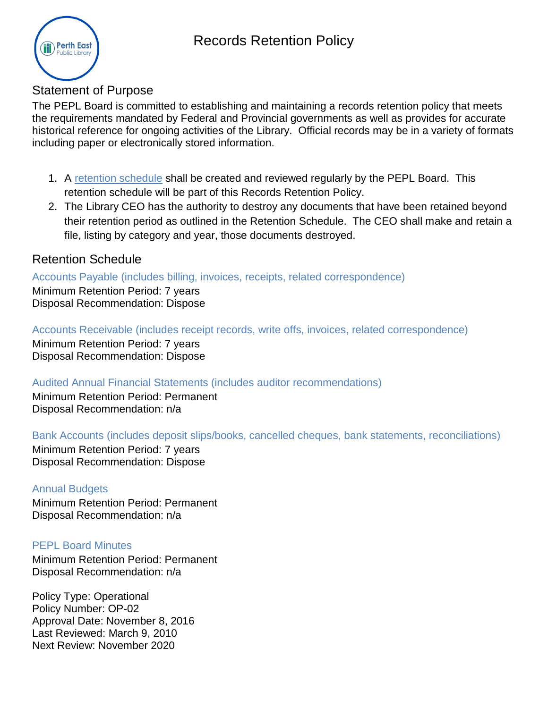# Records Retention Policy



### Statement of Purpose

The PEPL Board is committed to establishing and maintaining a records retention policy that meets the requirements mandated by Federal and Provincial governments as well as provides for accurate historical reference for ongoing activities of the Library. Official records may be in a variety of formats including paper or electronically stored information.

- 1. A [retention schedule](#page-0-0) shall be created and reviewed regularly by the PEPL Board. This retention schedule will be part of this Records Retention Policy.
- 2. The Library CEO has the authority to destroy any documents that have been retained beyond their retention period as outlined in the Retention Schedule. The CEO shall make and retain a file, listing by category and year, those documents destroyed.

## <span id="page-0-0"></span>Retention Schedule

Accounts Payable (includes billing, invoices, receipts, related correspondence)

Minimum Retention Period: 7 years Disposal Recommendation: Dispose

Accounts Receivable (includes receipt records, write offs, invoices, related correspondence)

Minimum Retention Period: 7 years Disposal Recommendation: Dispose

Audited Annual Financial Statements (includes auditor recommendations)

Minimum Retention Period: Permanent Disposal Recommendation: n/a

Bank Accounts (includes deposit slips/books, cancelled cheques, bank statements, reconciliations)

Minimum Retention Period: 7 years Disposal Recommendation: Dispose

#### Annual Budgets

Minimum Retention Period: Permanent Disposal Recommendation: n/a

#### PEPL Board Minutes

Minimum Retention Period: Permanent Disposal Recommendation: n/a

Policy Type: Operational Policy Number: OP-02 Approval Date: November 8, 2016 Last Reviewed: March 9, 2010 Next Review: November 2020